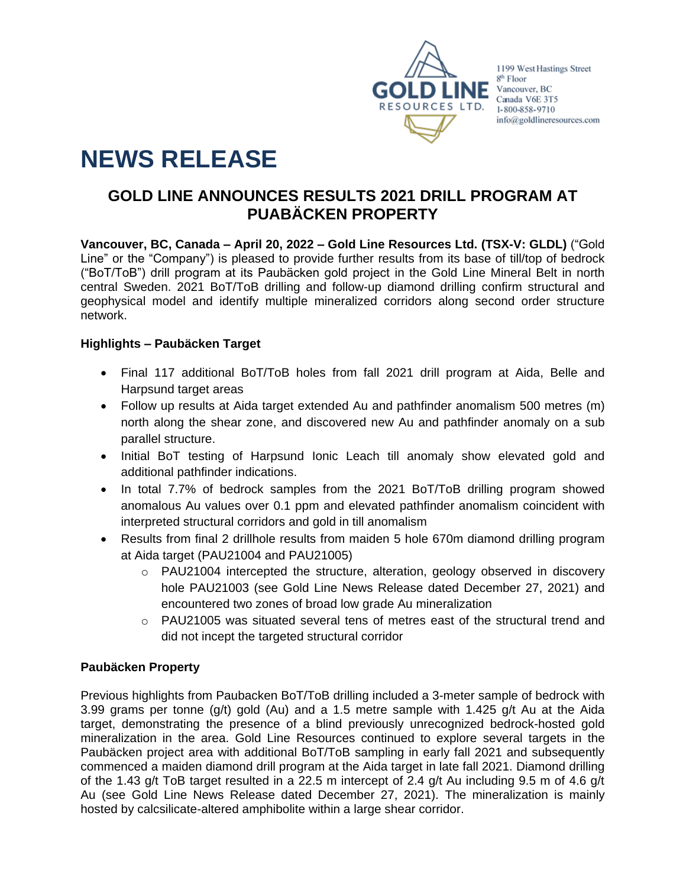

1199 West Hastings Street 8<sup>th</sup> Floor info@goldlineresources.com

# **NEWS RELEASE**

# **GOLD LINE ANNOUNCES RESULTS 2021 DRILL PROGRAM AT PUABÄCKEN PROPERTY**

**Vancouver, BC, Canada – April 20, 2022 – Gold Line Resources Ltd. (TSX-V: GLDL)** ("Gold Line" or the "Company") is pleased to provide further results from its base of till/top of bedrock ("BoT/ToB") drill program at its Paubäcken gold project in the Gold Line Mineral Belt in north central Sweden. 2021 BoT/ToB drilling and follow-up diamond drilling confirm structural and geophysical model and identify multiple mineralized corridors along second order structure network.

# **Highlights – Paubäcken Target**

- Final 117 additional BoT/ToB holes from fall 2021 drill program at Aida, Belle and Harpsund target areas
- Follow up results at Aida target extended Au and pathfinder anomalism 500 metres (m) north along the shear zone, and discovered new Au and pathfinder anomaly on a sub parallel structure.
- Initial BoT testing of Harpsund Ionic Leach till anomaly show elevated gold and additional pathfinder indications.
- In total 7.7% of bedrock samples from the 2021 BoT/ToB drilling program showed anomalous Au values over 0.1 ppm and elevated pathfinder anomalism coincident with interpreted structural corridors and gold in till anomalism
- Results from final 2 drillhole results from maiden 5 hole 670m diamond drilling program at Aida target (PAU21004 and PAU21005)
	- $\circ$  PAU21004 intercepted the structure, alteration, geology observed in discovery hole PAU21003 (see Gold Line News Release dated December 27, 2021) and encountered two zones of broad low grade Au mineralization
	- $\circ$  PAU21005 was situated several tens of metres east of the structural trend and did not incept the targeted structural corridor

# **Paubäcken Property**

Previous highlights from Paubacken BoT/ToB drilling included a 3-meter sample of bedrock with 3.99 grams per tonne (g/t) gold (Au) and a 1.5 metre sample with 1.425 g/t Au at the Aida target, demonstrating the presence of a blind previously unrecognized bedrock-hosted gold mineralization in the area. Gold Line Resources continued to explore several targets in the Paubäcken project area with additional BoT/ToB sampling in early fall 2021 and subsequently commenced a maiden diamond drill program at the Aida target in late fall 2021. Diamond drilling of the 1.43 g/t ToB target resulted in a 22.5 m intercept of 2.4 g/t Au including 9.5 m of 4.6 g/t Au (see Gold Line News Release dated December 27, 2021). The mineralization is mainly hosted by calcsilicate-altered amphibolite within a large shear corridor.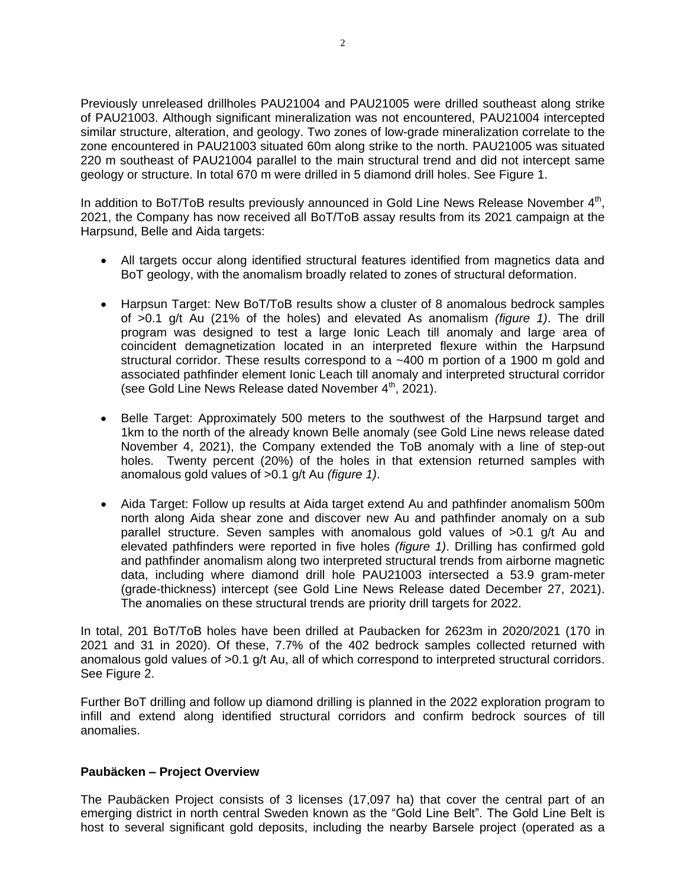Previously unreleased drillholes PAU21004 and PAU21005 were drilled southeast along strike of PAU21003. Although significant mineralization was not encountered, PAU21004 intercepted similar structure, alteration, and geology. Two zones of low-grade mineralization correlate to the zone encountered in PAU21003 situated 60m along strike to the north. PAU21005 was situated 220 m southeast of PAU21004 parallel to the main structural trend and did not intercept same geology or structure. In total 670 m were drilled in 5 diamond drill holes. See [Figure 1.](#page-5-0)

In addition to BoT/ToB results previously announced in Gold Line News Release November  $4<sup>th</sup>$ , 2021, the Company has now received all BoT/ToB assay results from its 2021 campaign at the Harpsund, Belle and Aida targets:

- All targets occur along identified structural features identified from magnetics data and BoT geology, with the anomalism broadly related to zones of structural deformation.
- Harpsun Target: New BoT/ToB results show a cluster of 8 anomalous bedrock samples of >0.1 g/t Au (21% of the holes) and elevated As anomalism *(figure 1)*. The drill program was designed to test a large Ionic Leach till anomaly and large area of coincident demagnetization located in an interpreted flexure within the Harpsund structural corridor. These results correspond to a  $-400$  m portion of a 1900 m gold and associated pathfinder element Ionic Leach till anomaly and interpreted structural corridor (see Gold Line News Release dated November  $4<sup>th</sup>$ , 2021).
- Belle Target: Approximately 500 meters to the southwest of the Harpsund target and 1km to the north of the already known Belle anomaly (see Gold Line news release dated November 4, 2021), the Company extended the ToB anomaly with a line of step-out holes. Twenty percent (20%) of the holes in that extension returned samples with anomalous gold values of >0.1 g/t Au *(figure 1)*.
- Aida Target: Follow up results at Aida target extend Au and pathfinder anomalism 500m north along Aida shear zone and discover new Au and pathfinder anomaly on a sub parallel structure. Seven samples with anomalous gold values of >0.1 g/t Au and elevated pathfinders were reported in five holes *(figure 1)*. Drilling has confirmed gold and pathfinder anomalism along two interpreted structural trends from airborne magnetic data, including where diamond drill hole PAU21003 intersected a 53.9 gram-meter (grade-thickness) intercept (see Gold Line News Release dated December 27, 2021). The anomalies on these structural trends are priority drill targets for 2022.

In total, 201 BoT/ToB holes have been drilled at Paubacken for 2623m in 2020/2021 (170 in 2021 and 31 in 2020). Of these, 7.7% of the 402 bedrock samples collected returned with anomalous gold values of >0.1 g/t Au, all of which correspond to interpreted structural corridors. See [Figure 2.](#page-6-0)

Further BoT drilling and follow up diamond drilling is planned in the 2022 exploration program to infill and extend along identified structural corridors and confirm bedrock sources of till anomalies.

#### **Paubäcken – Project Overview**

The Paubäcken Project consists of 3 licenses (17,097 ha) that cover the central part of an emerging district in north central Sweden known as the "Gold Line Belt". The Gold Line Belt is host to several significant gold deposits, including the nearby Barsele project (operated as a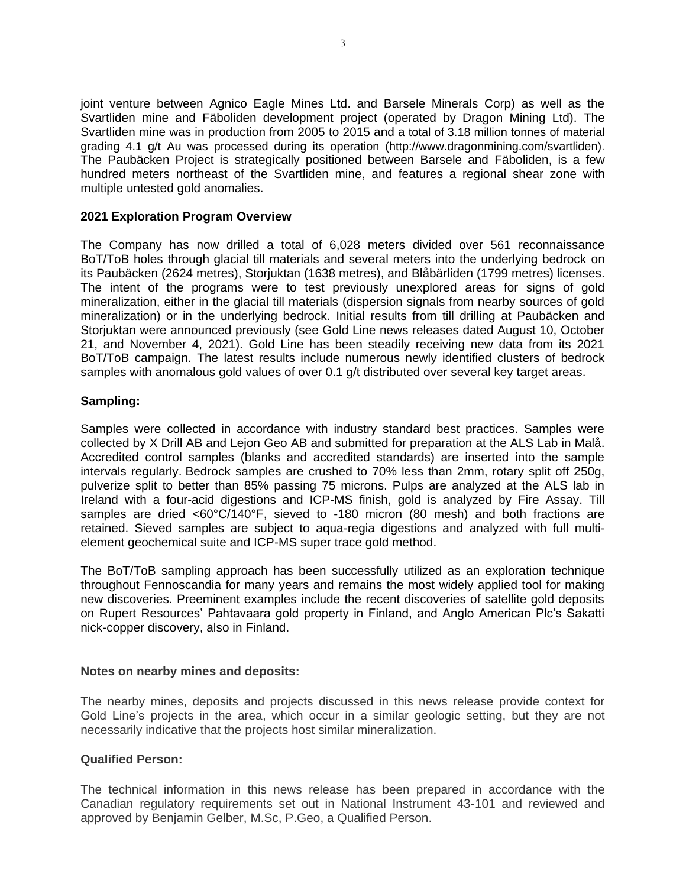joint venture between Agnico Eagle Mines Ltd. and Barsele Minerals Corp) as well as the Svartliden mine and Fäboliden development project (operated by Dragon Mining Ltd). The Svartliden mine was in production from 2005 to 2015 and a total of 3.18 million tonnes of material grading 4.1 g/t Au was processed during its operation (http://www.dragonmining.com/svartliden). The Paubäcken Project is strategically positioned between Barsele and Fäboliden, is a few hundred meters northeast of the Svartliden mine, and features a regional shear zone with multiple untested gold anomalies.

### **2021 Exploration Program Overview**

The Company has now drilled a total of 6,028 meters divided over 561 reconnaissance BoT/ToB holes through glacial till materials and several meters into the underlying bedrock on its Paubäcken (2624 metres), Storjuktan (1638 metres), and Blåbärliden (1799 metres) licenses. The intent of the programs were to test previously unexplored areas for signs of gold mineralization, either in the glacial till materials (dispersion signals from nearby sources of gold mineralization) or in the underlying bedrock. Initial results from till drilling at Paubäcken and Storjuktan were announced previously (see Gold Line news releases dated August 10, October 21, and November 4, 2021). Gold Line has been steadily receiving new data from its 2021 BoT/ToB campaign. The latest results include numerous newly identified clusters of bedrock samples with anomalous gold values of over 0.1 g/t distributed over several key target areas.

#### **Sampling:**

Samples were collected in accordance with industry standard best practices. Samples were collected by X Drill AB and Lejon Geo AB and submitted for preparation at the ALS Lab in Malå. Accredited control samples (blanks and accredited standards) are inserted into the sample intervals regularly. Bedrock samples are crushed to 70% less than 2mm, rotary split off 250g, pulverize split to better than 85% passing 75 microns. Pulps are analyzed at the ALS lab in Ireland with a four-acid digestions and ICP-MS finish, gold is analyzed by Fire Assay. Till samples are dried <60°C/140°F, sieved to -180 micron (80 mesh) and both fractions are retained. Sieved samples are subject to aqua-regia digestions and analyzed with full multielement geochemical suite and ICP-MS super trace gold method.

The BoT/ToB sampling approach has been successfully utilized as an exploration technique throughout Fennoscandia for many years and remains the most widely applied tool for making new discoveries. Preeminent examples include the recent discoveries of satellite gold deposits on Rupert Resources' Pahtavaara gold property in Finland, and Anglo American Plc's Sakatti nick-copper discovery, also in Finland.

#### **Notes on nearby mines and deposits:**

The nearby mines, deposits and projects discussed in this news release provide context for Gold Line's projects in the area, which occur in a similar geologic setting, but they are not necessarily indicative that the projects host similar mineralization.

#### **Qualified Person:**

The technical information in this news release has been prepared in accordance with the Canadian regulatory requirements set out in National Instrument 43-101 and reviewed and approved by Benjamin Gelber, M.Sc, P.Geo, a Qualified Person.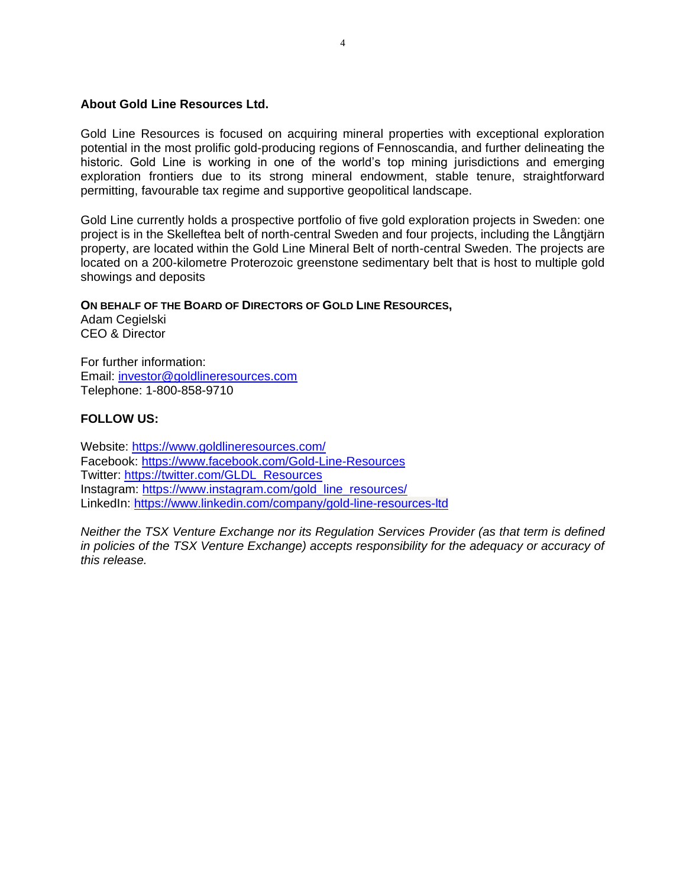#### **About Gold Line Resources Ltd.**

Gold Line Resources is focused on acquiring mineral properties with exceptional exploration potential in the most prolific gold-producing regions of Fennoscandia, and further delineating the historic. Gold Line is working in one of the world's top mining jurisdictions and emerging exploration frontiers due to its strong mineral endowment, stable tenure, straightforward permitting, favourable tax regime and supportive geopolitical landscape.

Gold Line currently holds a prospective portfolio of five gold exploration projects in Sweden: one project is in the Skelleftea belt of north-central Sweden and four projects, including the Långtjärn property, are located within the Gold Line Mineral Belt of north-central Sweden. The projects are located on a 200-kilometre Proterozoic greenstone sedimentary belt that is host to multiple gold showings and deposits

#### **ON BEHALF OF THE BOARD OF DIRECTORS OF GOLD LINE RESOURCES,**

Adam Cegielski CEO & Director

For further information: Email: [investor@goldlineresources.com](mailto:investor@goldlineresources.com) Telephone: 1-800-858-9710

## **FOLLOW US:**

Website:<https://www.goldlineresources.com/> Facebook:<https://www.facebook.com/Gold-Line-Resources> Twitter: [https://twitter.com/GLDL\\_Resources](https://twitter.com/GLDL_Resources) Instagram: [https://www.instagram.com/gold\\_line\\_resources/](https://www.instagram.com/gold_line_resources/) LinkedIn: <https://www.linkedin.com/company/gold-line-resources-ltd>

*Neither the TSX Venture Exchange nor its Regulation Services Provider (as that term is defined in policies of the TSX Venture Exchange) accepts responsibility for the adequacy or accuracy of this release.*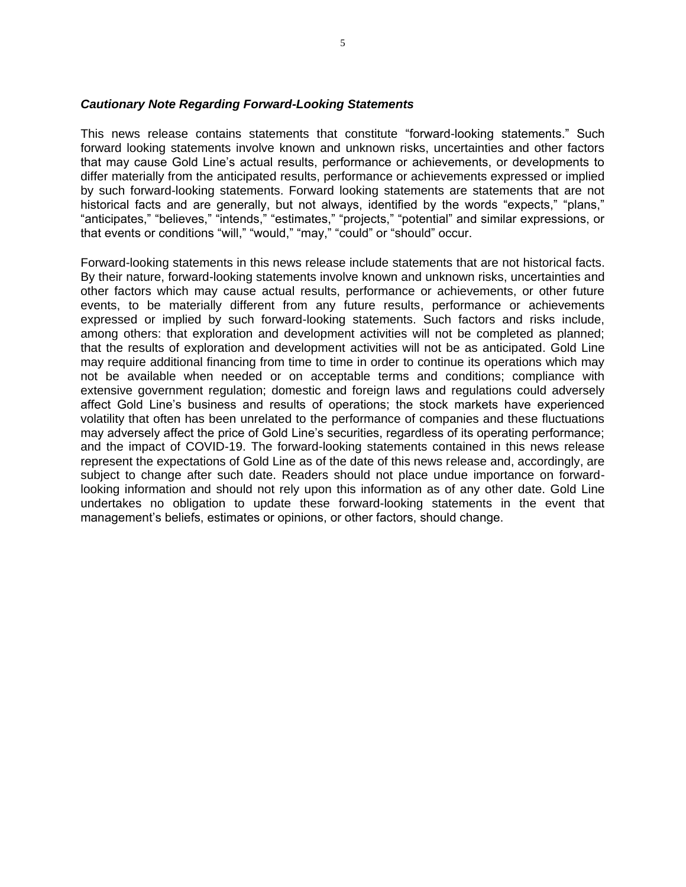#### *Cautionary Note Regarding Forward-Looking Statements*

This news release contains statements that constitute "forward-looking statements." Such forward looking statements involve known and unknown risks, uncertainties and other factors that may cause Gold Line's actual results, performance or achievements, or developments to differ materially from the anticipated results, performance or achievements expressed or implied by such forward-looking statements. Forward looking statements are statements that are not historical facts and are generally, but not always, identified by the words "expects," "plans," "anticipates," "believes," "intends," "estimates," "projects," "potential" and similar expressions, or that events or conditions "will," "would," "may," "could" or "should" occur.

Forward-looking statements in this news release include statements that are not historical facts. By their nature, forward-looking statements involve known and unknown risks, uncertainties and other factors which may cause actual results, performance or achievements, or other future events, to be materially different from any future results, performance or achievements expressed or implied by such forward-looking statements. Such factors and risks include, among others: that exploration and development activities will not be completed as planned; that the results of exploration and development activities will not be as anticipated. Gold Line may require additional financing from time to time in order to continue its operations which may not be available when needed or on acceptable terms and conditions; compliance with extensive government regulation; domestic and foreign laws and regulations could adversely affect Gold Line's business and results of operations; the stock markets have experienced volatility that often has been unrelated to the performance of companies and these fluctuations may adversely affect the price of Gold Line's securities, regardless of its operating performance; and the impact of COVID-19. The forward-looking statements contained in this news release represent the expectations of Gold Line as of the date of this news release and, accordingly, are subject to change after such date. Readers should not place undue importance on forwardlooking information and should not rely upon this information as of any other date. Gold Line undertakes no obligation to update these forward-looking statements in the event that management's beliefs, estimates or opinions, or other factors, should change.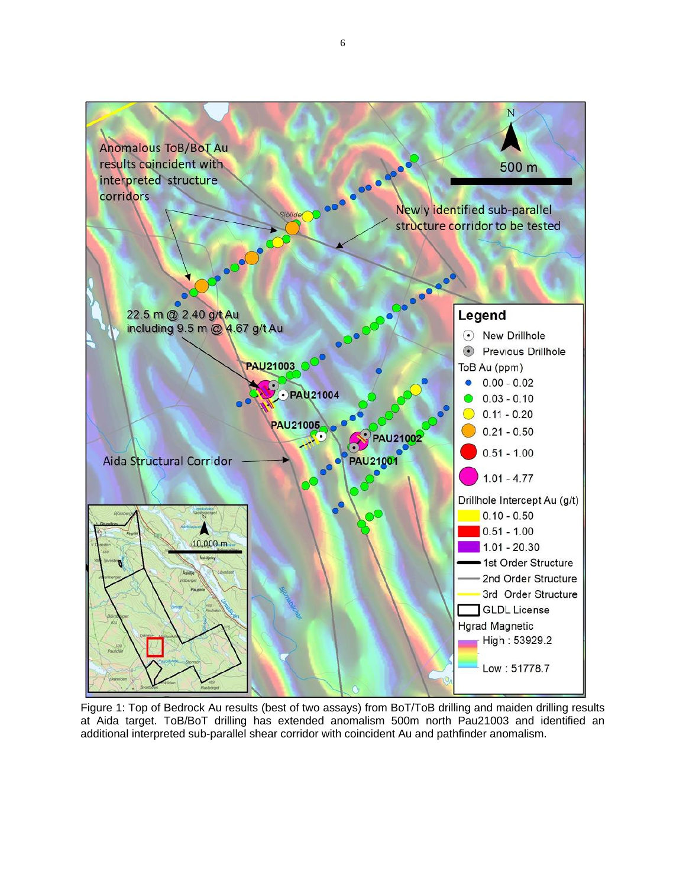

<span id="page-5-0"></span>Figure 1: Top of Bedrock Au results (best of two assays) from BoT/ToB drilling and maiden drilling results at Aida target. ToB/BoT drilling has extended anomalism 500m north Pau21003 and identified an additional interpreted sub-parallel shear corridor with coincident Au and pathfinder anomalism.